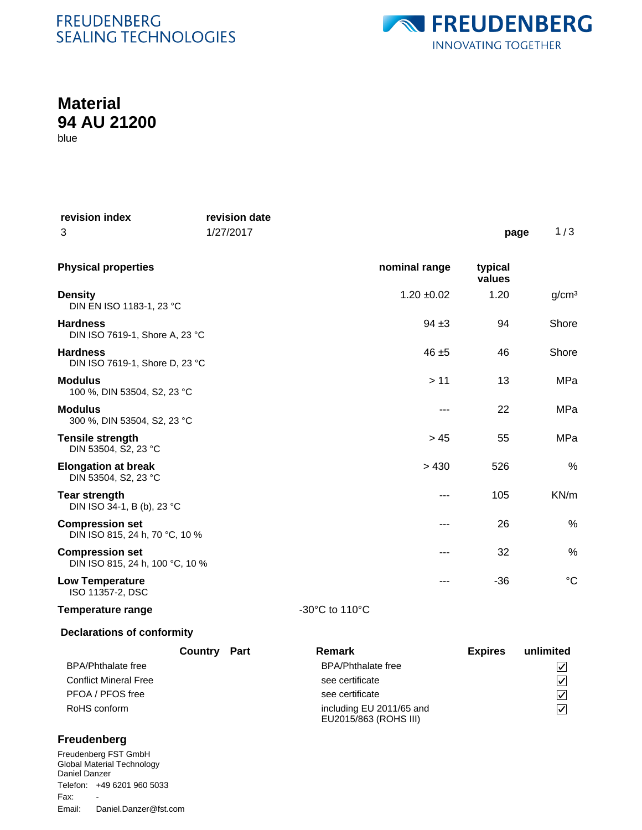## **FREUDENBERG** SEALING TECHNOLOGIES



## **Material 94 AU 21200**

blue

| revision index<br>3                                       | revision date<br>1/27/2017 |                |                 | page              | 1/3               |
|-----------------------------------------------------------|----------------------------|----------------|-----------------|-------------------|-------------------|
| <b>Physical properties</b>                                |                            |                | nominal range   | typical<br>values |                   |
| <b>Density</b><br>DIN EN ISO 1183-1, 23 °C                |                            |                | $1.20 \pm 0.02$ | 1.20              | g/cm <sup>3</sup> |
| <b>Hardness</b><br>DIN ISO 7619-1, Shore A, 23 °C         |                            |                | $94 + 3$        | 94                | Shore             |
| <b>Hardness</b><br>DIN ISO 7619-1, Shore D, 23 °C         |                            |                | $46 + 5$        | 46                | Shore             |
| <b>Modulus</b><br>100 %, DIN 53504, S2, 23 °C             |                            |                | > 11            | 13                | MPa               |
| <b>Modulus</b><br>300 %, DIN 53504, S2, 23 °C             |                            |                | ---             | 22                | MPa               |
| <b>Tensile strength</b><br>DIN 53504, S2, 23 °C           |                            |                | > 45            | 55                | MPa               |
| <b>Elongation at break</b><br>DIN 53504, S2, 23 °C        |                            |                | > 430           | 526               | %                 |
| <b>Tear strength</b><br>DIN ISO 34-1, B (b), 23 °C        |                            |                | ---             | 105               | KN/m              |
| <b>Compression set</b><br>DIN ISO 815, 24 h, 70 °C, 10 %  |                            |                |                 | 26                | $\%$              |
| <b>Compression set</b><br>DIN ISO 815, 24 h, 100 °C, 10 % |                            |                | ---             | 32                | %                 |
| <b>Low Temperature</b><br>ISO 11357-2, DSC                |                            |                | ---             | $-36$             | $\rm ^{\circ}C$   |
| <b>Temperature range</b>                                  |                            | -30°C to 110°C |                 |                   |                   |

### **Declarations of conformity**

|                              | Country Part | Remark                                            | <b>Expires</b> | unlimited               |
|------------------------------|--------------|---------------------------------------------------|----------------|-------------------------|
| <b>BPA/Phthalate free</b>    |              | <b>BPA/Phthalate free</b>                         |                | $\overline{\mathsf{v}}$ |
| <b>Conflict Mineral Free</b> |              | see certificate                                   |                | $\triangledown$         |
| PFOA / PFOS free             |              | see certificate                                   |                | $\vert\mathcal{V}\vert$ |
| RoHS conform                 |              | including EU 2011/65 and<br>EU2015/863 (ROHS III) |                | $\overline{\vee}$       |

#### **Freudenberg**

Freudenberg FST GmbH Global Material Technology Daniel Danzer Telefon: +49 6201 960 5033 Email: Daniel.Danzer@fst.com Fax: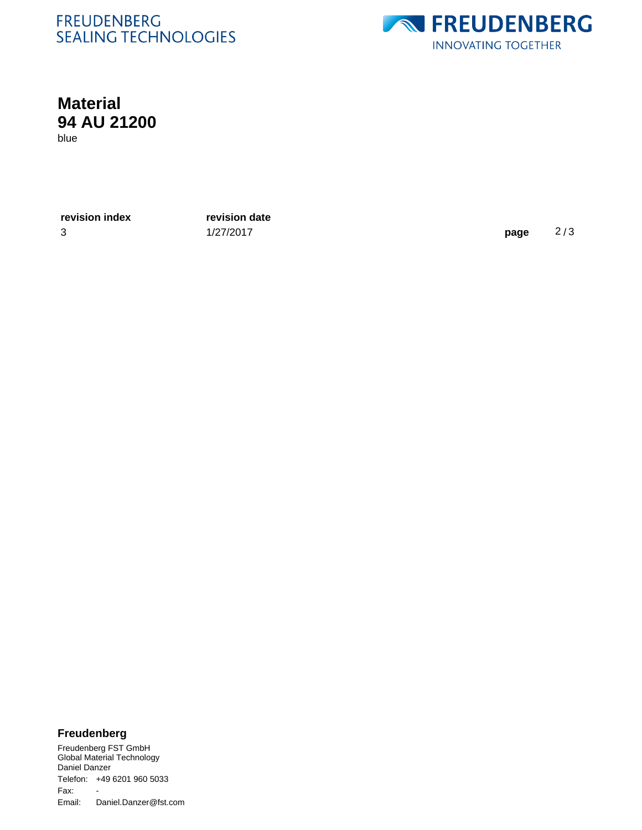## **FREUDENBERG SEALING TECHNOLOGIES**



# **Material 94 AU 21200**

blue

**revision index revision date**

3 1/27/2017 **page** 2 / 3

#### **Freudenberg**

Freudenberg FST GmbH Global Material Technology Daniel Danzer Telefon: +49 6201 960 5033 Email: Daniel.Danzer@fst.com Fax: